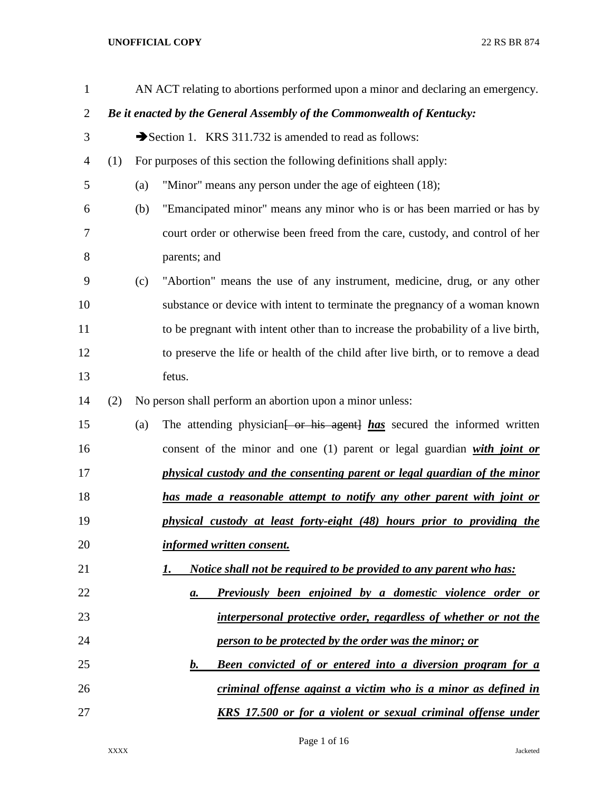| $\mathbf{1}$   |     |     | AN ACT relating to abortions performed upon a minor and declaring an emergency.      |
|----------------|-----|-----|--------------------------------------------------------------------------------------|
| $\overline{2}$ |     |     | Be it enacted by the General Assembly of the Commonwealth of Kentucky:               |
| 3              |     |     | Section 1. KRS 311.732 is amended to read as follows:                                |
| 4              | (1) |     | For purposes of this section the following definitions shall apply:                  |
| 5              |     | (a) | "Minor" means any person under the age of eighteen (18);                             |
| 6              |     | (b) | "Emancipated minor" means any minor who is or has been married or has by             |
| 7              |     |     | court order or otherwise been freed from the care, custody, and control of her       |
| 8              |     |     | parents; and                                                                         |
| 9              |     | (c) | "Abortion" means the use of any instrument, medicine, drug, or any other             |
| 10             |     |     | substance or device with intent to terminate the pregnancy of a woman known          |
| 11             |     |     | to be pregnant with intent other than to increase the probability of a live birth,   |
| 12             |     |     | to preserve the life or health of the child after live birth, or to remove a dead    |
| 13             |     |     | fetus.                                                                               |
| 14             | (2) |     | No person shall perform an abortion upon a minor unless:                             |
| 15             |     | (a) | The attending physician <del>[ or his agent] has</del> secured the informed written  |
| 16             |     |     | consent of the minor and one (1) parent or legal guardian with joint or              |
| 17             |     |     | physical custody and the consenting parent or legal guardian of the minor            |
| 18             |     |     | has made a reasonable attempt to notify any other parent with joint or               |
| 19             |     |     | physical custody at least forty-eight (48) hours prior to providing the              |
| 20             |     |     | informed written consent.                                                            |
| 21             |     |     | Notice shall not be required to be provided to any parent who has:<br>1.             |
| 22             |     |     | <b>Previously been enjoined by a domestic violence order or</b><br>а.                |
| 23             |     |     | interpersonal protective order, regardless of whether or not the                     |
| 24             |     |     | person to be protected by the order was the minor; or                                |
| 25             |     |     | <b>Been convicted of or entered into a diversion program for a</b><br>$\mathbf{b}$ . |
| 26             |     |     | criminal offense against a victim who is a minor as defined in                       |
| 27             |     |     | <u>KRS 17.500 or for a violent or sexual criminal offense under</u>                  |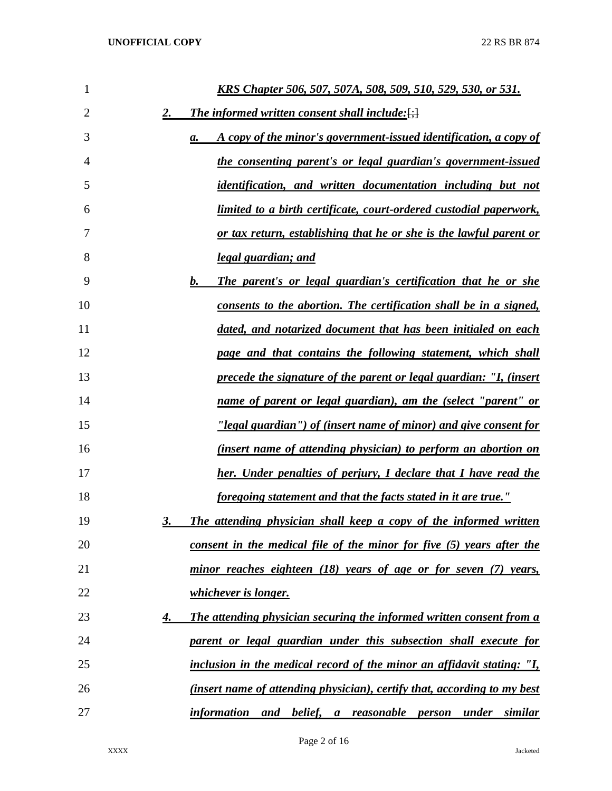| 1              | <u>KRS Chapter 506, 507, 507A, 508, 509, 510, 529, 530, or 531.</u>             |
|----------------|---------------------------------------------------------------------------------|
| $\overline{2}$ | <b>The informed written consent shall include:</b> $\left\{\cdot\right\}$<br>2. |
| 3              | A copy of the minor's government-issued identification, a copy of<br>а.         |
| 4              | the consenting parent's or legal guardian's government-issued                   |
| 5              | <i>identification, and written documentation including but not</i>              |
| 6              | <u>limited to a birth certificate, court-ordered custodial paperwork,</u>       |
| 7              | or tax return, establishing that he or she is the lawful parent or              |
| 8              | <u>legal guardian; and</u>                                                      |
| 9              | The parent's or legal guardian's certification that he or she<br>b.             |
| 10             | consents to the abortion. The certification shall be in a signed,               |
| 11             | dated, and notarized document that has been initialed on each                   |
| 12             | page and that contains the following statement, which shall                     |
| 13             | precede the signature of the parent or legal guardian: "I, (insert              |
| 14             | name of parent or legal guardian), am the (select "parent" or                   |
| 15             | <u>"legal guardian") of (insert name of minor) and give consent for</u>         |
| 16             | (insert name of attending physician) to perform an abortion on                  |
| 17             | her. Under penalties of perjury, I declare that I have read the                 |
| 18             | <u>foregoing statement and that the facts stated in it are true."</u>           |
| 19             | The attending physician shall keep a copy of the informed written<br><u>3.</u>  |
| 20             | consent in the medical file of the minor for five (5) years after the           |
| 21             | minor reaches eighteen (18) years of age or for seven (7) years,                |
| 22             | <i>whichever is longer.</i>                                                     |
| 23             | The attending physician securing the informed written consent from a<br>4.      |
| 24             | parent or legal guardian under this subsection shall execute for                |
| 25             | inclusion in the medical record of the minor an affidavit stating: "I,          |
| 26             | <i>(insert name of attending physician), certify that, according to my best</i> |
| 27             | information and belief, a reasonable person under similar                       |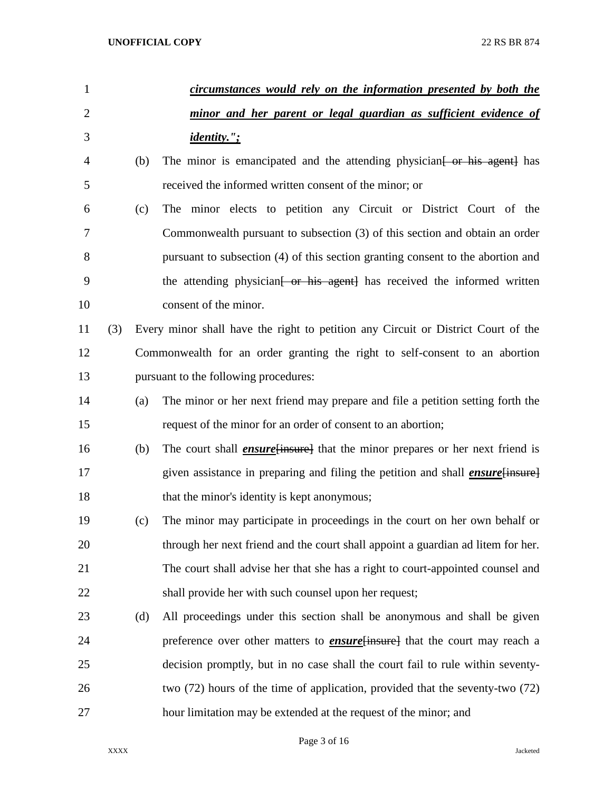| $\mathbf{1}$   |     |     | circumstances would rely on the information presented by both the                      |
|----------------|-----|-----|----------------------------------------------------------------------------------------|
| $\overline{2}$ |     |     | minor and her parent or legal guardian as sufficient evidence of                       |
| 3              |     |     | <i>identity."</i> ;                                                                    |
| 4              |     | (b) | The minor is emancipated and the attending physician [ or his agent] has               |
| 5              |     |     | received the informed written consent of the minor; or                                 |
| 6              |     | (c) | The minor elects to petition any Circuit or District Court of the                      |
| 7              |     |     | Commonwealth pursuant to subsection (3) of this section and obtain an order            |
| 8              |     |     | pursuant to subsection (4) of this section granting consent to the abortion and        |
| 9              |     |     | the attending physician <del>[ or his agent]</del> has received the informed written   |
| 10             |     |     | consent of the minor.                                                                  |
| 11             | (3) |     | Every minor shall have the right to petition any Circuit or District Court of the      |
| 12             |     |     | Commonwealth for an order granting the right to self-consent to an abortion            |
| 13             |     |     | pursuant to the following procedures:                                                  |
| 14             |     | (a) | The minor or her next friend may prepare and file a petition setting forth the         |
| 15             |     |     | request of the minor for an order of consent to an abortion;                           |
| 16             |     | (b) | The court shall <i>ensure</i> [insure] that the minor prepares or her next friend is   |
| 17             |     |     | given assistance in preparing and filing the petition and shall <i>ensure</i> [insure] |
| 18             |     |     | that the minor's identity is kept anonymous;                                           |
| 19             |     | (c) | The minor may participate in proceedings in the court on her own behalf or             |
| 20             |     |     | through her next friend and the court shall appoint a guardian ad litem for her.       |
| 21             |     |     | The court shall advise her that she has a right to court-appointed counsel and         |
| 22             |     |     | shall provide her with such counsel upon her request;                                  |
| 23             |     | (d) | All proceedings under this section shall be anonymous and shall be given               |
| 24             |     |     | preference over other matters to <b>ensure</b> insure that the court may reach a       |
| 25             |     |     | decision promptly, but in no case shall the court fail to rule within seventy-         |
| 26             |     |     | two (72) hours of the time of application, provided that the seventy-two (72)          |
| 27             |     |     | hour limitation may be extended at the request of the minor; and                       |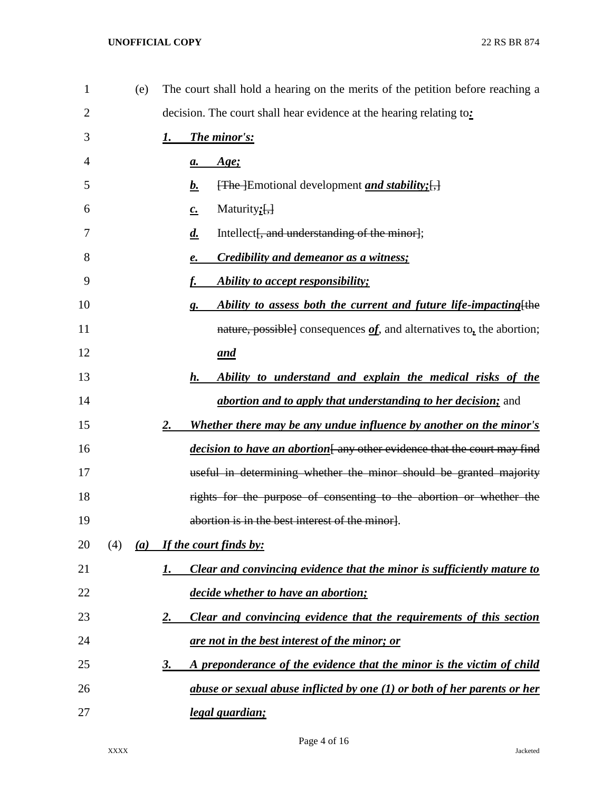| $\mathbf{1}$ | (e) | The court shall hold a hearing on the merits of the petition before reaching a |
|--------------|-----|--------------------------------------------------------------------------------|
| 2            |     | decision. The court shall hear evidence at the hearing relating to:            |
| 3            |     | The minor's:<br>1.                                                             |
| 4            |     | <u>Age;</u><br>$\mathbf{a}$ .                                                  |
| 5            |     | [The ]Emotional development <i>and stability</i> ; [,]<br><u>b.</u>            |
| 6            |     | Maturity; $\left[\frac{1}{2}\right]$<br>$c_{\cdot}$                            |
| 7            |     | Intellect [, and understanding of the minor];<br>$\overline{d}$ .              |
| 8            |     | <b>Credibility and demeanor as a witness;</b><br>e.                            |
| 9            |     | Ability to accept responsibility;<br>f.                                        |
| 10           |     | Ability to assess both the current and future life-impacting [the<br>g.        |
| 11           |     | nature, possible] consequences $of$ , and alternatives to, the abortion;       |
| 12           |     | <u>and</u>                                                                     |
| 13           |     | Ability to understand and explain the medical risks of the<br>h.               |
| 14           |     | <i>abortion and to apply that understanding to her decision;</i> and           |
| 15           |     | Whether there may be any undue influence by another on the minor's<br>2.       |
| 16           |     | <i>decision to have an abortion</i> any other evidence that the court may find |
| 17           |     | useful in determining whether the minor should be granted majority             |
| 18           |     | rights for the purpose of consenting to the abortion or whether the            |
| 19           |     | abortion is in the best interest of the minor].                                |
| 20           | (4) | (a) If the court finds by:                                                     |
| 21           |     | Clear and convincing evidence that the minor is sufficiently mature to<br>1.   |
| 22           |     | decide whether to have an abortion;                                            |
| 23           |     | Clear and convincing evidence that the requirements of this section<br>2.      |
| 24           |     | <u>are not in the best interest of the minor; or</u>                           |
| 25           |     | A preponderance of the evidence that the minor is the victim of child<br>3.    |
| 26           |     | abuse or sexual abuse inflicted by one (1) or both of her parents or her       |
| 27           |     | legal guardian;                                                                |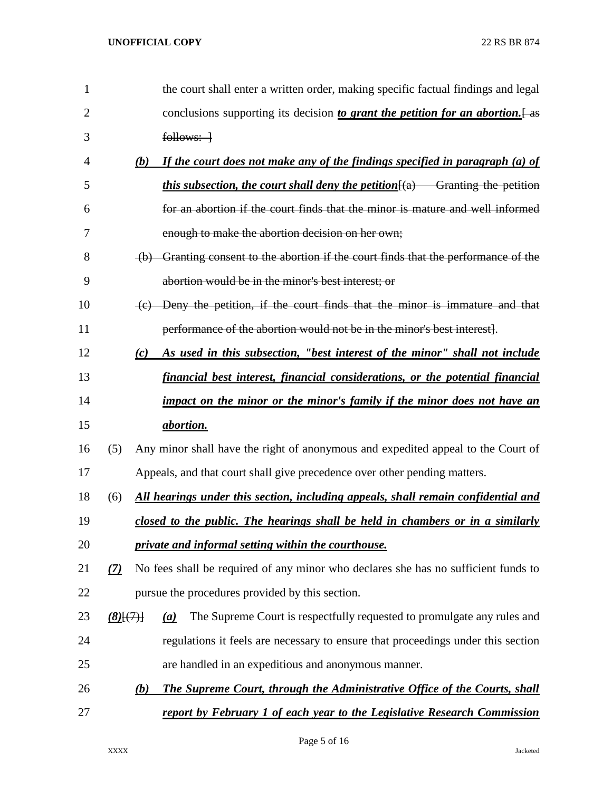| 1              |                 | the court shall enter a written order, making specific factual findings and legal           |
|----------------|-----------------|---------------------------------------------------------------------------------------------|
| $\overline{2}$ |                 | conclusions supporting its decision to grant the petition for an abortion. $\frac{1}{1}$ as |
| 3              |                 | $follows: -1$                                                                               |
| 4              | (b)             | If the court does not make any of the findings specified in paragraph (a) of                |
| 5              |                 | <i>this subsection, the court shall deny the petition</i> $(a)$ Granting the petition       |
| 6              |                 | for an abortion if the court finds that the minor is mature and well informed               |
| 7              |                 | enough to make the abortion decision on her own;                                            |
| 8              |                 | (b) Granting consent to the abortion if the court finds that the performance of the         |
| 9              |                 | abortion would be in the minor's best interest: or                                          |
| 10             |                 | (c) Deny the petition, if the court finds that the minor is immature and that               |
| 11             |                 | performance of the abortion would not be in the minor's best interest.                      |
| 12             | (c)             | As used in this subsection, "best interest of the minor" shall not include                  |
| 13             |                 | financial best interest, financial considerations, or the potential financial               |
| 14             |                 | impact on the minor or the minor's family if the minor does not have an                     |
| 15             |                 | <i>abortion.</i>                                                                            |
| 16             | (5)             | Any minor shall have the right of anonymous and expedited appeal to the Court of            |
| 17             |                 | Appeals, and that court shall give precedence over other pending matters.                   |
| 18             | (6)             | All hearings under this section, including appeals, shall remain confidential and           |
| 19             |                 | closed to the public. The hearings shall be held in chambers or in a similarly              |
| 20             |                 | private and informal setting within the courthouse.                                         |
| 21             | (7)             | No fees shall be required of any minor who declares she has no sufficient funds to          |
| 22             |                 | pursue the procedures provided by this section.                                             |
| 23             | $(8)$ [ $(7)$ ] | The Supreme Court is respectfully requested to promulgate any rules and<br>(a)              |
| 24             |                 | regulations it feels are necessary to ensure that proceedings under this section            |
| 25             |                 | are handled in an expeditious and anonymous manner.                                         |
| 26             | (b)             | The Supreme Court, through the Administrative Office of the Courts, shall                   |
| 27             |                 | <u>report by February 1 of each year to the Legislative Research Commission</u>             |

Page 5 of 16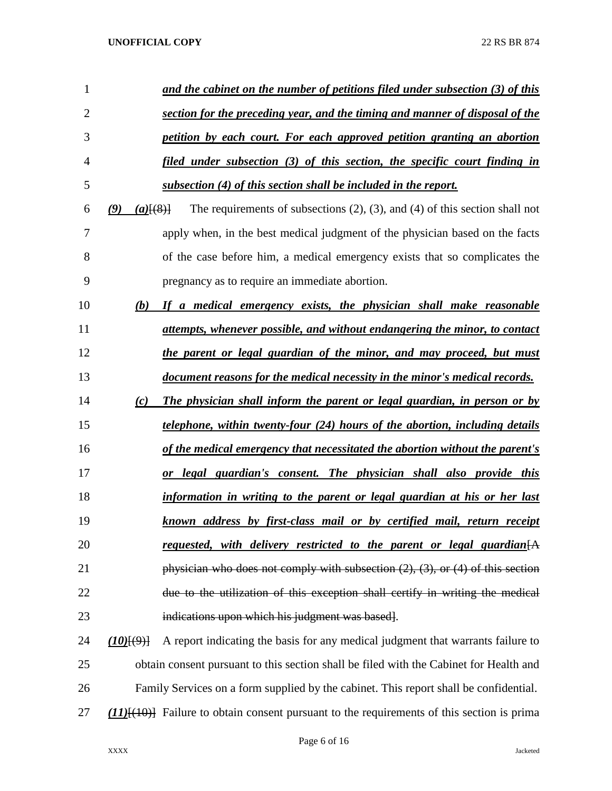| 1              |                      | and the cabinet on the number of petitions filed under subsection (3) of this          |
|----------------|----------------------|----------------------------------------------------------------------------------------|
| $\overline{2}$ |                      | section for the preceding year, and the timing and manner of disposal of the           |
| 3              |                      | petition by each court. For each approved petition granting an abortion                |
| 4              |                      | filed under subsection (3) of this section, the specific court finding in              |
| 5              |                      | subsection (4) of this section shall be included in the report.                        |
| 6              | (9)<br>$(a)$ $(8)$ } | The requirements of subsections $(2)$ , $(3)$ , and $(4)$ of this section shall not    |
| 7              |                      | apply when, in the best medical judgment of the physician based on the facts           |
| 8              |                      | of the case before him, a medical emergency exists that so complicates the             |
| 9              |                      | pregnancy as to require an immediate abortion.                                         |
| 10             | (b)                  | If a medical emergency exists, the physician shall make reasonable                     |
| 11             |                      | attempts, whenever possible, and without endangering the minor, to contact             |
| 12             |                      | the parent or legal guardian of the minor, and may proceed, but must                   |
| 13             |                      | document reasons for the medical necessity in the minor's medical records.             |
| 14             | (c)                  | The physician shall inform the parent or legal guardian, in person or by               |
| 15             |                      | <i>telephone, within twenty-four (24) hours of the abortion, including details</i>     |
| 16             |                      | of the medical emergency that necessitated the abortion without the parent's           |
| 17             |                      | or legal guardian's consent. The physician shall also provide this                     |
| 18             |                      | information in writing to the parent or legal guardian at his or her last              |
| 19             |                      | known address by first-class mail or by certified mail, return receipt                 |
| 20             |                      | <u>requested, with delivery restricted to the parent or legal guardian</u>             |
| 21             |                      | physician who does not comply with subsection $(2)$ , $(3)$ , or $(4)$ of this section |
| 22             |                      | due to the utilization of this exception shall certify in writing the medical          |
| 23             |                      | indications upon which his judgment was based.                                         |
| 24             | (10)(9)              | A report indicating the basis for any medical judgment that warrants failure to        |
| 25             |                      | obtain consent pursuant to this section shall be filed with the Cabinet for Health and |
| 26             |                      | Family Services on a form supplied by the cabinet. This report shall be confidential.  |

*(11)*[(10)] Failure to obtain consent pursuant to the requirements of this section is prima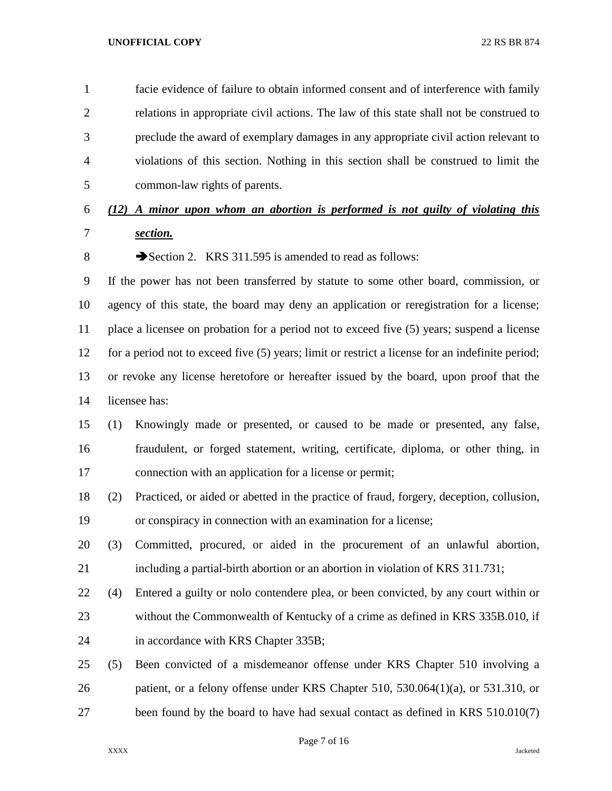facie evidence of failure to obtain informed consent and of interference with family relations in appropriate civil actions. The law of this state shall not be construed to preclude the award of exemplary damages in any appropriate civil action relevant to violations of this section. Nothing in this section shall be construed to limit the common-law rights of parents.

## *(12) A minor upon whom an abortion is performed is not guilty of violating this section.*

8 Section 2. KRS 311.595 is amended to read as follows:

 If the power has not been transferred by statute to some other board, commission, or agency of this state, the board may deny an application or reregistration for a license; place a licensee on probation for a period not to exceed five (5) years; suspend a license for a period not to exceed five (5) years; limit or restrict a license for an indefinite period; or revoke any license heretofore or hereafter issued by the board, upon proof that the licensee has:

# (1) Knowingly made or presented, or caused to be made or presented, any false, fraudulent, or forged statement, writing, certificate, diploma, or other thing, in connection with an application for a license or permit;

 (2) Practiced, or aided or abetted in the practice of fraud, forgery, deception, collusion, or conspiracy in connection with an examination for a license;

 (3) Committed, procured, or aided in the procurement of an unlawful abortion, including a partial-birth abortion or an abortion in violation of KRS 311.731;

- (4) Entered a guilty or nolo contendere plea, or been convicted, by any court within or without the Commonwealth of Kentucky of a crime as defined in KRS 335B.010, if in accordance with KRS Chapter 335B;
- (5) Been convicted of a misdemeanor offense under KRS Chapter 510 involving a patient, or a felony offense under KRS Chapter 510, 530.064(1)(a), or 531.310, or been found by the board to have had sexual contact as defined in KRS 510.010(7)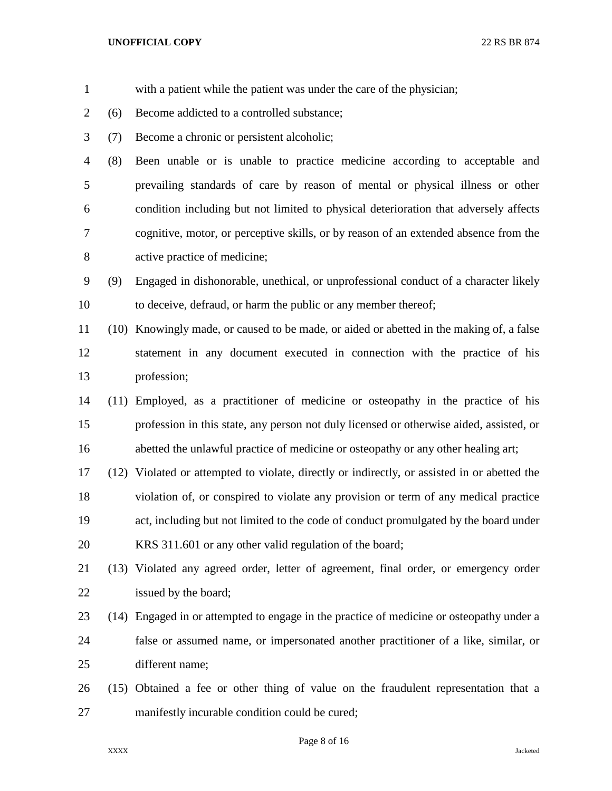- with a patient while the patient was under the care of the physician;
- (6) Become addicted to a controlled substance;
- (7) Become a chronic or persistent alcoholic;

 (8) Been unable or is unable to practice medicine according to acceptable and prevailing standards of care by reason of mental or physical illness or other condition including but not limited to physical deterioration that adversely affects cognitive, motor, or perceptive skills, or by reason of an extended absence from the active practice of medicine;

 (9) Engaged in dishonorable, unethical, or unprofessional conduct of a character likely to deceive, defraud, or harm the public or any member thereof;

 (10) Knowingly made, or caused to be made, or aided or abetted in the making of, a false statement in any document executed in connection with the practice of his profession;

- (11) Employed, as a practitioner of medicine or osteopathy in the practice of his profession in this state, any person not duly licensed or otherwise aided, assisted, or abetted the unlawful practice of medicine or osteopathy or any other healing art;
- (12) Violated or attempted to violate, directly or indirectly, or assisted in or abetted the violation of, or conspired to violate any provision or term of any medical practice act, including but not limited to the code of conduct promulgated by the board under KRS 311.601 or any other valid regulation of the board;

 (13) Violated any agreed order, letter of agreement, final order, or emergency order issued by the board;

- (14) Engaged in or attempted to engage in the practice of medicine or osteopathy under a false or assumed name, or impersonated another practitioner of a like, similar, or different name;
- (15) Obtained a fee or other thing of value on the fraudulent representation that a manifestly incurable condition could be cured;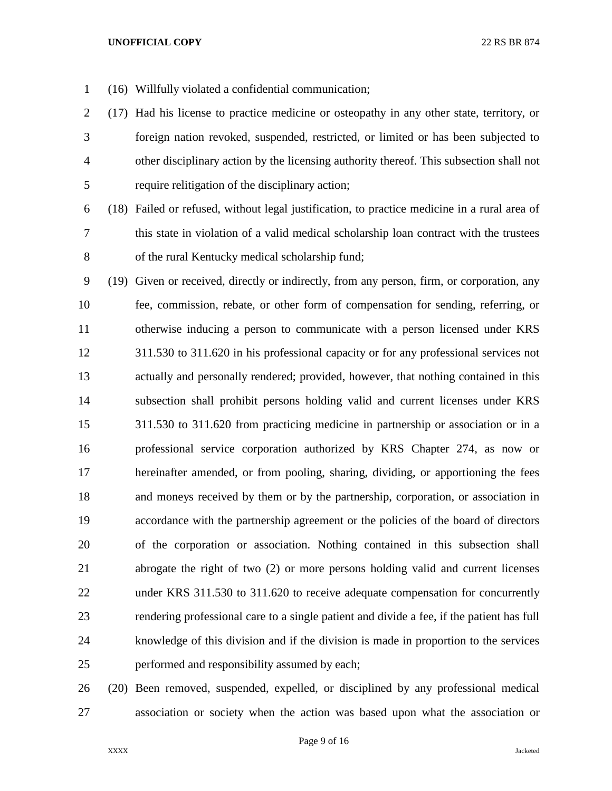- (16) Willfully violated a confidential communication;
- (17) Had his license to practice medicine or osteopathy in any other state, territory, or foreign nation revoked, suspended, restricted, or limited or has been subjected to other disciplinary action by the licensing authority thereof. This subsection shall not require relitigation of the disciplinary action;
- 

 (18) Failed or refused, without legal justification, to practice medicine in a rural area of this state in violation of a valid medical scholarship loan contract with the trustees of the rural Kentucky medical scholarship fund;

 (19) Given or received, directly or indirectly, from any person, firm, or corporation, any fee, commission, rebate, or other form of compensation for sending, referring, or otherwise inducing a person to communicate with a person licensed under KRS 311.530 to 311.620 in his professional capacity or for any professional services not actually and personally rendered; provided, however, that nothing contained in this subsection shall prohibit persons holding valid and current licenses under KRS 311.530 to 311.620 from practicing medicine in partnership or association or in a professional service corporation authorized by KRS Chapter 274, as now or hereinafter amended, or from pooling, sharing, dividing, or apportioning the fees and moneys received by them or by the partnership, corporation, or association in accordance with the partnership agreement or the policies of the board of directors of the corporation or association. Nothing contained in this subsection shall abrogate the right of two (2) or more persons holding valid and current licenses under KRS 311.530 to 311.620 to receive adequate compensation for concurrently rendering professional care to a single patient and divide a fee, if the patient has full knowledge of this division and if the division is made in proportion to the services performed and responsibility assumed by each;

 (20) Been removed, suspended, expelled, or disciplined by any professional medical association or society when the action was based upon what the association or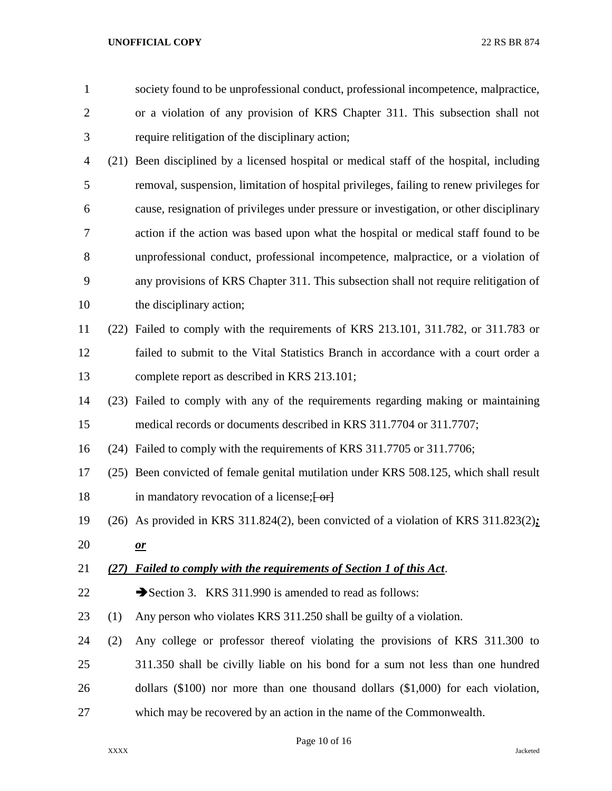society found to be unprofessional conduct, professional incompetence, malpractice, or a violation of any provision of KRS Chapter 311. This subsection shall not require relitigation of the disciplinary action;

- (21) Been disciplined by a licensed hospital or medical staff of the hospital, including removal, suspension, limitation of hospital privileges, failing to renew privileges for cause, resignation of privileges under pressure or investigation, or other disciplinary action if the action was based upon what the hospital or medical staff found to be unprofessional conduct, professional incompetence, malpractice, or a violation of any provisions of KRS Chapter 311. This subsection shall not require relitigation of the disciplinary action;
- (22) Failed to comply with the requirements of KRS 213.101, 311.782, or 311.783 or failed to submit to the Vital Statistics Branch in accordance with a court order a complete report as described in KRS 213.101;
- (23) Failed to comply with any of the requirements regarding making or maintaining medical records or documents described in KRS 311.7704 or 311.7707;
- (24) Failed to comply with the requirements of KRS 311.7705 or 311.7706;
- (25) Been convicted of female genital mutilation under KRS 508.125, which shall result 18 in mandatory revocation of a license; [-or]
- (26) As provided in KRS 311.824(2), been convicted of a violation of KRS 311.823(2)*;*
- *or*

## *(27) Failed to comply with the requirements of Section 1 of this Act*.

- 22 Section 3. KRS 311.990 is amended to read as follows:
- (1) Any person who violates KRS 311.250 shall be guilty of a violation.
- (2) Any college or professor thereof violating the provisions of KRS 311.300 to 311.350 shall be civilly liable on his bond for a sum not less than one hundred dollars (\$100) nor more than one thousand dollars (\$1,000) for each violation, which may be recovered by an action in the name of the Commonwealth.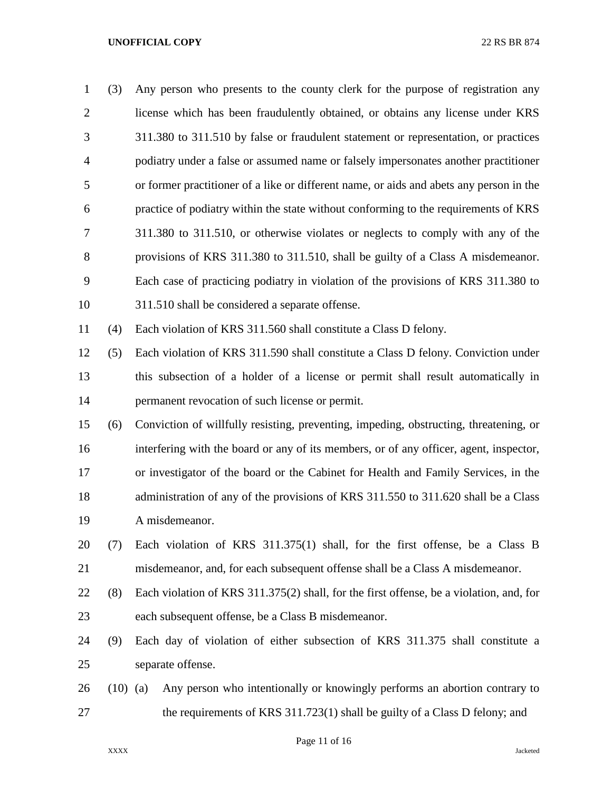| $\mathbf{1}$   | (3)        | Any person who presents to the county clerk for the purpose of registration any         |
|----------------|------------|-----------------------------------------------------------------------------------------|
| $\overline{2}$ |            | license which has been fraudulently obtained, or obtains any license under KRS          |
| 3              |            | 311.380 to 311.510 by false or fraudulent statement or representation, or practices     |
| 4              |            | podiatry under a false or assumed name or falsely impersonates another practitioner     |
| 5              |            | or former practitioner of a like or different name, or aids and abets any person in the |
| 6              |            | practice of podiatry within the state without conforming to the requirements of KRS     |
| 7              |            | 311.380 to 311.510, or otherwise violates or neglects to comply with any of the         |
| 8              |            | provisions of KRS 311.380 to 311.510, shall be guilty of a Class A misdemeanor.         |
| 9              |            | Each case of practicing podiatry in violation of the provisions of KRS 311.380 to       |
| 10             |            | 311.510 shall be considered a separate offense.                                         |
| 11             | (4)        | Each violation of KRS 311.560 shall constitute a Class D felony.                        |
| 12             | (5)        | Each violation of KRS 311.590 shall constitute a Class D felony. Conviction under       |
| 13             |            | this subsection of a holder of a license or permit shall result automatically in        |
| 14             |            | permanent revocation of such license or permit.                                         |
| 15             | (6)        | Conviction of willfully resisting, preventing, impeding, obstructing, threatening, or   |
| 16             |            | interfering with the board or any of its members, or of any officer, agent, inspector,  |
| 17             |            | or investigator of the board or the Cabinet for Health and Family Services, in the      |
| 18             |            | administration of any of the provisions of KRS 311.550 to 311.620 shall be a Class      |
| 19             |            | A misdemeanor.                                                                          |
| 20             | (7)        | Each violation of KRS $311.375(1)$ shall, for the first offense, be a Class B           |
| 21             |            | misdemeanor, and, for each subsequent offense shall be a Class A misdemeanor.           |
| 22             | (8)        | Each violation of KRS 311.375(2) shall, for the first offense, be a violation, and, for |
| 23             |            | each subsequent offense, be a Class B misdemeanor.                                      |
| 24             | (9)        | Each day of violation of either subsection of KRS 311.375 shall constitute a            |
| 25             |            | separate offense.                                                                       |
| 26             | $(10)$ (a) | Any person who intentionally or knowingly performs an abortion contrary to              |
| 27             |            | the requirements of KRS 311.723(1) shall be guilty of a Class D felony; and             |

Page 11 of 16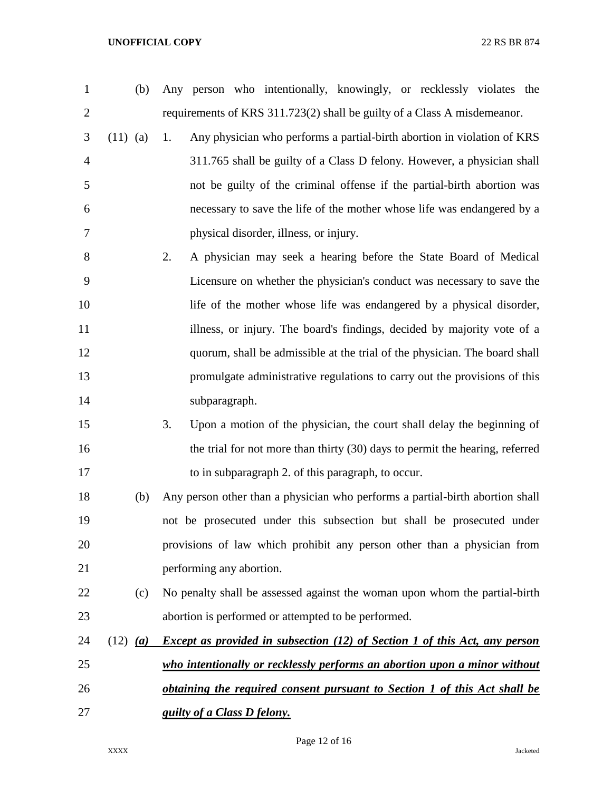requirements of KRS 311.723(2) shall be guilty of a Class A misdemeanor. (11) (a) 1. Any physician who performs a partial-birth abortion in violation of KRS 311.765 shall be guilty of a Class D felony. However, a physician shall not be guilty of the criminal offense if the partial-birth abortion was necessary to save the life of the mother whose life was endangered by a physical disorder, illness, or injury. 2. A physician may seek a hearing before the State Board of Medical Licensure on whether the physician's conduct was necessary to save the life of the mother whose life was endangered by a physical disorder, 11 illness, or injury. The board's findings, decided by majority vote of a quorum, shall be admissible at the trial of the physician. The board shall promulgate administrative regulations to carry out the provisions of this subparagraph. 3. Upon a motion of the physician, the court shall delay the beginning of 16 the trial for not more than thirty (30) days to permit the hearing, referred 17 to in subparagraph 2. of this paragraph, to occur. (b) Any person other than a physician who performs a partial-birth abortion shall not be prosecuted under this subsection but shall be prosecuted under provisions of law which prohibit any person other than a physician from performing any abortion. (c) No penalty shall be assessed against the woman upon whom the partial-birth abortion is performed or attempted to be performed. (12) *(a) Except as provided in subsection (12) of Section 1 of this Act, any person who intentionally or recklessly performs an abortion upon a minor without obtaining the required consent pursuant to Section 1 of this Act shall be guilty of a Class D felony.*

(b) Any person who intentionally, knowingly, or recklessly violates the

Page 12 of 16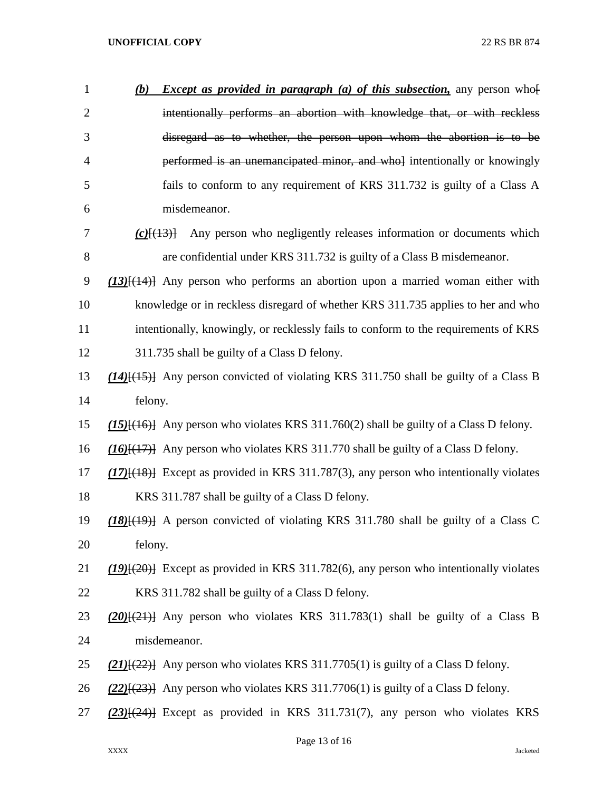| $\mathbf{1}$   | <i>Except as provided in paragraph (a) of this subsection</i> , any person who<br>(b)               |
|----------------|-----------------------------------------------------------------------------------------------------|
| $\overline{2}$ | intentionally performs an abortion with knowledge that, or with reckless                            |
| 3              | disregard as to whether, the person upon whom the abortion is to be                                 |
| $\overline{4}$ | performed is an unemancipated minor, and whol intentionally or knowingly                            |
| 5              | fails to conform to any requirement of KRS 311.732 is guilty of a Class A                           |
| 6              | misdemeanor.                                                                                        |
| 7              | Any person who negligently releases information or documents which<br>$(c)$ $(13)$                  |
| 8              | are confidential under KRS 311.732 is guilty of a Class B misdemeanor.                              |
| 9              | $(13)$ { $(14)$ } Any person who performs an abortion upon a married woman either with              |
| 10             | knowledge or in reckless disregard of whether KRS 311.735 applies to her and who                    |
| 11             | intentionally, knowingly, or recklessly fails to conform to the requirements of KRS                 |
| 12             | 311.735 shall be guilty of a Class D felony.                                                        |
| 13             | (14) <sup>[(15)</sup> ] Any person convicted of violating KRS 311.750 shall be guilty of a Class B  |
| 14             | felony.                                                                                             |
| 15             | (15) <sup>[(16)]</sup> Any person who violates KRS 311.760(2) shall be guilty of a Class D felony.  |
| 16             | $(16)$ [ $(17)$ ] Any person who violates KRS 311.770 shall be guilty of a Class D felony.          |
| 17             | (17) <sup>[(18)</sup> ] Except as provided in KRS 311.787(3), any person who intentionally violates |
| 18             | KRS 311.787 shall be guilty of a Class D felony.                                                    |
| 19             | $(18)$ { $(19)$ } A person convicted of violating KRS 311.780 shall be guilty of a Class C          |
| 20             | felony.                                                                                             |
| 21             | $(19)$ Except as provided in KRS 311.782(6), any person who intentionally violates                  |
| 22             | KRS 311.782 shall be guilty of a Class D felony.                                                    |
| 23             | $(20)(21)$ Any person who violates KRS 311.783(1) shall be guilty of a Class B                      |
| 24             | misdemeanor.                                                                                        |
| 25             | $(21)$ [ $(22)$ ] Any person who violates KRS 311.7705(1) is guilty of a Class D felony.            |
| 26             | $(22)$ { $(23)$ } Any person who violates KRS 311.7706(1) is guilty of a Class D felony.            |
| 27             | (23)[(24)] Except as provided in KRS 311.731(7), any person who violates KRS                        |
|                |                                                                                                     |

Page 13 of 16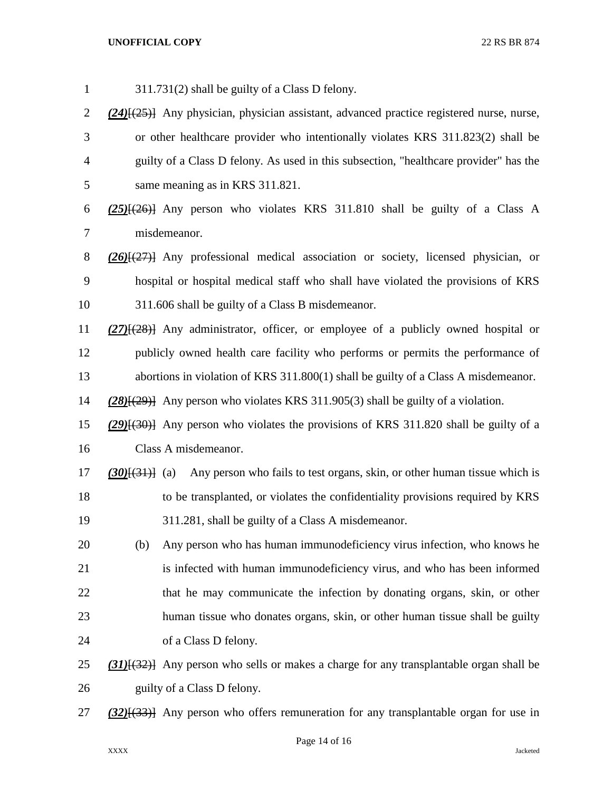311.731(2) shall be guilty of a Class D felony. *(24)*[(25)] Any physician, physician assistant, advanced practice registered nurse, nurse, or other healthcare provider who intentionally violates KRS 311.823(2) shall be guilty of a Class D felony. As used in this subsection, "healthcare provider" has the same meaning as in KRS 311.821. *(25)*[(26)] Any person who violates KRS 311.810 shall be guilty of a Class A misdemeanor. *(26)*[(27)] Any professional medical association or society, licensed physician, or hospital or hospital medical staff who shall have violated the provisions of KRS 311.606 shall be guilty of a Class B misdemeanor. *(27)*[(28)] Any administrator, officer, or employee of a publicly owned hospital or publicly owned health care facility who performs or permits the performance of abortions in violation of KRS 311.800(1) shall be guilty of a Class A misdemeanor. *(28)*[(29)] Any person who violates KRS 311.905(3) shall be guilty of a violation. *(29)*[(30)] Any person who violates the provisions of KRS 311.820 shall be guilty of a Class A misdemeanor. *(30)*[(31)] (a) Any person who fails to test organs, skin, or other human tissue which is to be transplanted, or violates the confidentiality provisions required by KRS 311.281, shall be guilty of a Class A misdemeanor. (b) Any person who has human immunodeficiency virus infection, who knows he is infected with human immunodeficiency virus, and who has been informed 22 that he may communicate the infection by donating organs, skin, or other human tissue who donates organs, skin, or other human tissue shall be guilty of a Class D felony. *(31)*[(32)] Any person who sells or makes a charge for any transplantable organ shall be 26 guilty of a Class D felony. *(32)*[(33)] Any person who offers remuneration for any transplantable organ for use in

Page 14 of 16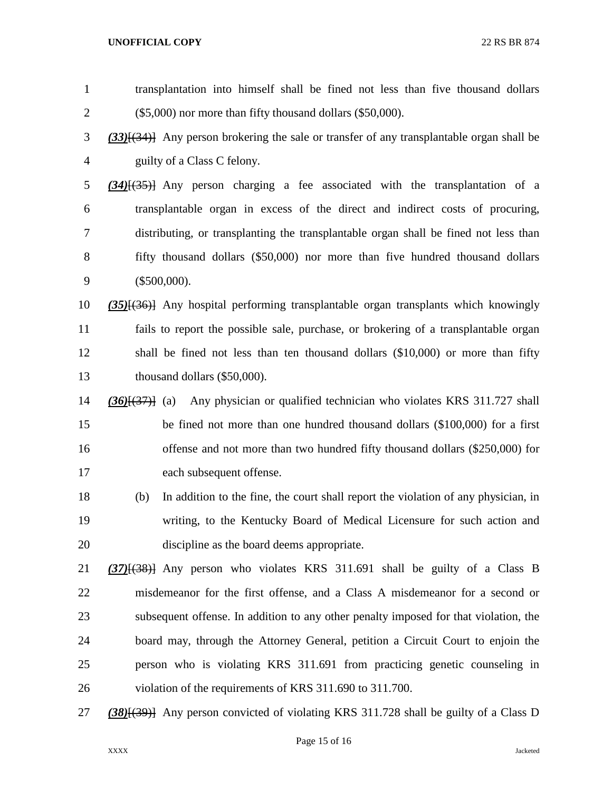| $\mathbf{1}$   | transplantation into himself shall be fined not less than five thousand dollars                  |
|----------------|--------------------------------------------------------------------------------------------------|
| $\overline{c}$ | $(\$5,000)$ nor more than fifty thousand dollars $(\$50,000)$ .                                  |
| 3              | $(33)$ { $(34)$ } Any person brokering the sale or transfer of any transplantable organ shall be |
| 4              | guilty of a Class C felony.                                                                      |
| 5              | $(34)$ [ $(35)$ ] Any person charging a fee associated with the transplantation of a             |
| 6              | transplantable organ in excess of the direct and indirect costs of procuring,                    |
| 7              | distributing, or transplanting the transplantable organ shall be fined not less than             |
| 8              | fifty thousand dollars (\$50,000) nor more than five hundred thousand dollars                    |
| 9              | $(\$500,000).$                                                                                   |
| 10             | $(35)$ { $(36)$ } Any hospital performing transplantable organ transplants which knowingly       |
| 11             | fails to report the possible sale, purchase, or brokering of a transplantable organ              |
| 12             | shall be fined not less than ten thousand dollars (\$10,000) or more than fifty                  |
| 13             | thousand dollars (\$50,000).                                                                     |
| 14             | Any physician or qualified technician who violates KRS 311.727 shall<br>$(36)$ $(37)$ $(a)$      |
| 15             | be fined not more than one hundred thousand dollars (\$100,000) for a first                      |
| 16             | offense and not more than two hundred fifty thousand dollars (\$250,000) for                     |
| 17             | each subsequent offense.                                                                         |
| 18             | In addition to the fine, the court shall report the violation of any physician, in<br>(b)        |
| 19             | writing, to the Kentucky Board of Medical Licensure for such action and                          |
| 20             | discipline as the board deems appropriate.                                                       |
| 21             | $(37)$ $(38)$ } Any person who violates KRS 311.691 shall be guilty of a Class B                 |
| 22             | misdemeanor for the first offense, and a Class A misdemeanor for a second or                     |
| 23             | subsequent offense. In addition to any other penalty imposed for that violation, the             |
| 24             | board may, through the Attorney General, petition a Circuit Court to enjoin the                  |
| 25             | person who is violating KRS 311.691 from practicing genetic counseling in                        |
| 26             | violation of the requirements of KRS 311.690 to 311.700.                                         |
| 27             | (38)[(39)] Any person convicted of violating KRS 311.728 shall be guilty of a Class D            |

## Page 15 of 16